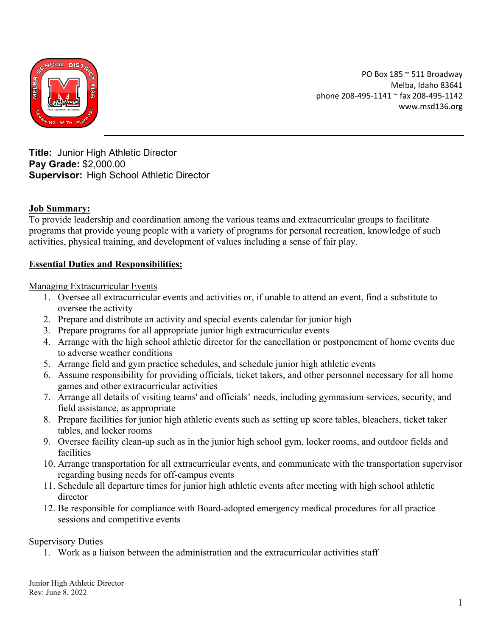

PO Box 185 ~ 511 Broadway Melba, Idaho 83641 phone 208-495-1141 ~ fax 208-495-1142 www.msd136.org

**Title:** Junior High Athletic Director **Pay Grade:** \$2,000.00 **Supervisor:** High School Athletic Director

# **Job Summary:**

To provide leadership and coordination among the various teams and extracurricular groups to facilitate programs that provide young people with a variety of programs for personal recreation, knowledge of such activities, physical training, and development of values including a sense of fair play.

# **Essential Duties and Responsibilities:**

Managing Extracurricular Events

- 1. Oversee all extracurricular events and activities or, if unable to attend an event, find a substitute to oversee the activity
- 2. Prepare and distribute an activity and special events calendar for junior high
- 3. Prepare programs for all appropriate junior high extracurricular events
- 4. Arrange with the high school athletic director for the cancellation or postponement of home events due to adverse weather conditions
- 5. Arrange field and gym practice schedules, and schedule junior high athletic events
- 6. Assume responsibility for providing officials, ticket takers, and other personnel necessary for all home games and other extracurricular activities
- 7. Arrange all details of visiting teams' and officials' needs, including gymnasium services, security, and field assistance, as appropriate
- 8. Prepare facilities for junior high athletic events such as setting up score tables, bleachers, ticket taker tables, and locker rooms
- 9. Oversee facility clean-up such as in the junior high school gym, locker rooms, and outdoor fields and facilities
- 10. Arrange transportation for all extracurricular events, and communicate with the transportation supervisor regarding busing needs for off-campus events
- 11. Schedule all departure times for junior high athletic events after meeting with high school athletic director
- 12. Be responsible for compliance with Board-adopted emergency medical procedures for all practice sessions and competitive events

### Supervisory Duties

1. Work as a liaison between the administration and the extracurricular activities staff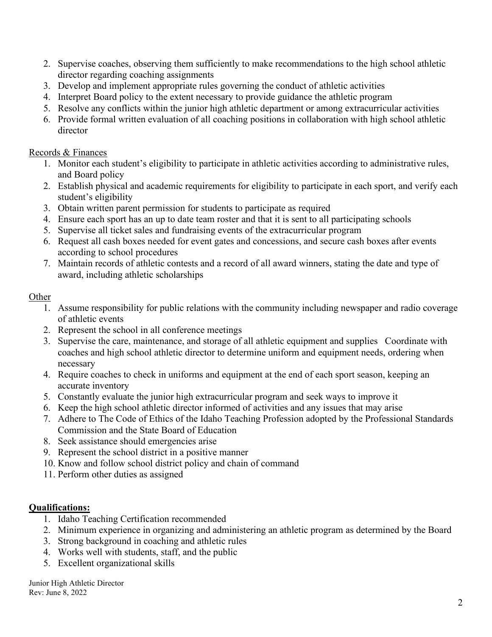- 2. Supervise coaches, observing them sufficiently to make recommendations to the high school athletic director regarding coaching assignments
- 3. Develop and implement appropriate rules governing the conduct of athletic activities
- 4. Interpret Board policy to the extent necessary to provide guidance the athletic program
- 5. Resolve any conflicts within the junior high athletic department or among extracurricular activities
- 6. Provide formal written evaluation of all coaching positions in collaboration with high school athletic director

### Records & Finances

- 1. Monitor each student's eligibility to participate in athletic activities according to administrative rules, and Board policy
- 2. Establish physical and academic requirements for eligibility to participate in each sport, and verify each student's eligibility
- 3. Obtain written parent permission for students to participate as required
- 4. Ensure each sport has an up to date team roster and that it is sent to all participating schools
- 5. Supervise all ticket sales and fundraising events of the extracurricular program
- 6. Request all cash boxes needed for event gates and concessions, and secure cash boxes after events according to school procedures
- 7. Maintain records of athletic contests and a record of all award winners, stating the date and type of award, including athletic scholarships

### **Other**

- 1. Assume responsibility for public relations with the community including newspaper and radio coverage of athletic events
- 2. Represent the school in all conference meetings
- 3. Supervise the care, maintenance, and storage of all athletic equipment and supplies Coordinate with coaches and high school athletic director to determine uniform and equipment needs, ordering when necessary
- 4. Require coaches to check in uniforms and equipment at the end of each sport season, keeping an accurate inventory
- 5. Constantly evaluate the junior high extracurricular program and seek ways to improve it
- 6. Keep the high school athletic director informed of activities and any issues that may arise
- 7. Adhere to The Code of Ethics of the Idaho Teaching Profession adopted by the Professional Standards Commission and the State Board of Education
- 8. Seek assistance should emergencies arise
- 9. Represent the school district in a positive manner
- 10. Know and follow school district policy and chain of command
- 11. Perform other duties as assigned

# **Qualifications:**

- 1. Idaho Teaching Certification recommended
- 2. Minimum experience in organizing and administering an athletic program as determined by the Board
- 3. Strong background in coaching and athletic rules
- 4. Works well with students, staff, and the public
- 5. Excellent organizational skills

Junior High Athletic Director Rev: June 8, 2022